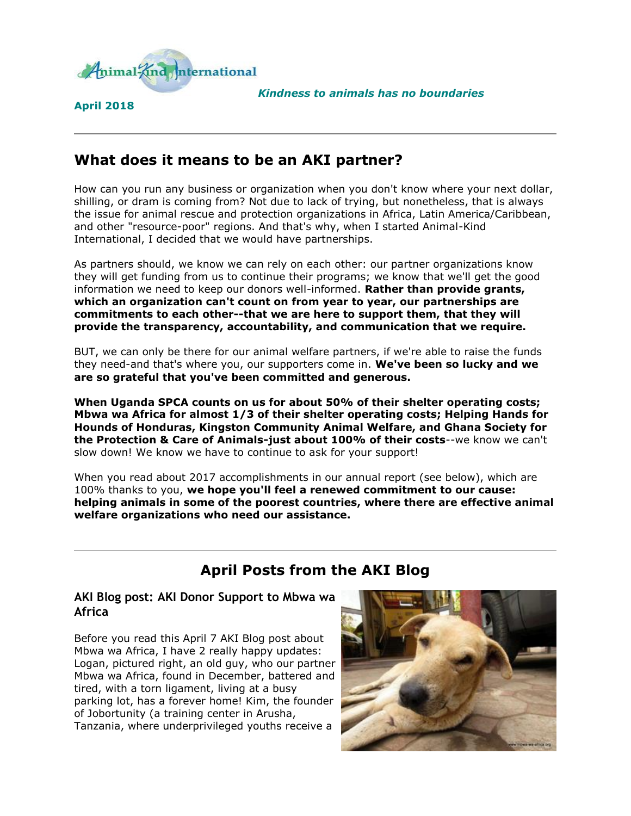

**April 2018**

*Kindness to animals has no boundaries*

# **What does it means to be an AKI partner?**

How can you run any business or organization when you don't know where your next dollar, shilling, or dram is coming from? Not due to lack of trying, but nonetheless, that is always the issue for animal rescue and protection organizations in Africa, Latin America/Caribbean, and other "resource-poor" regions. And that's why, when I started Animal-Kind International, I decided that we would have partnerships.

As partners should, we know we can rely on each other: our partner organizations know they will get funding from us to continue their programs; we know that we'll get the good information we need to keep our donors well-informed. **Rather than provide grants, which an organization can't count on from year to year, our partnerships are commitments to each other--that we are here to support them, that they will provide the transparency, accountability, and communication that we require.**

BUT, we can only be there for our animal welfare partners, if we're able to raise the funds they need-and that's where you, our supporters come in. **We've been so lucky and we are so grateful that you've been committed and generous.**

**When Uganda SPCA counts on us for about 50% of their shelter operating costs; Mbwa wa Africa for almost 1/3 of their shelter operating costs; Helping Hands for Hounds of Honduras, Kingston Community Animal Welfare, and Ghana Society for the Protection & Care of Animals-just about 100% of their costs**--we know we can't slow down! We know we have to continue to ask for your support!

When you read about 2017 accomplishments in our annual report (see below), which are 100% thanks to you, **we hope you'll feel a renewed commitment to our cause: helping animals in some of the poorest countries, where there are effective animal welfare organizations who need our assistance.**

# **April Posts from the AKI Blog**

#### **AKI Blog post: AKI Donor Support to Mbwa wa Africa**

Before you read this April 7 AKI Blog post about Mbwa wa Africa, I have 2 really happy updates: Logan, pictured right, an old guy, who our partner Mbwa wa Africa, found in December, battered and tired, with a torn ligament, living at a busy parking lot, has a forever home! Kim, the founder of Jobortunity (a training center in Arusha, Tanzania, where underprivileged youths receive a

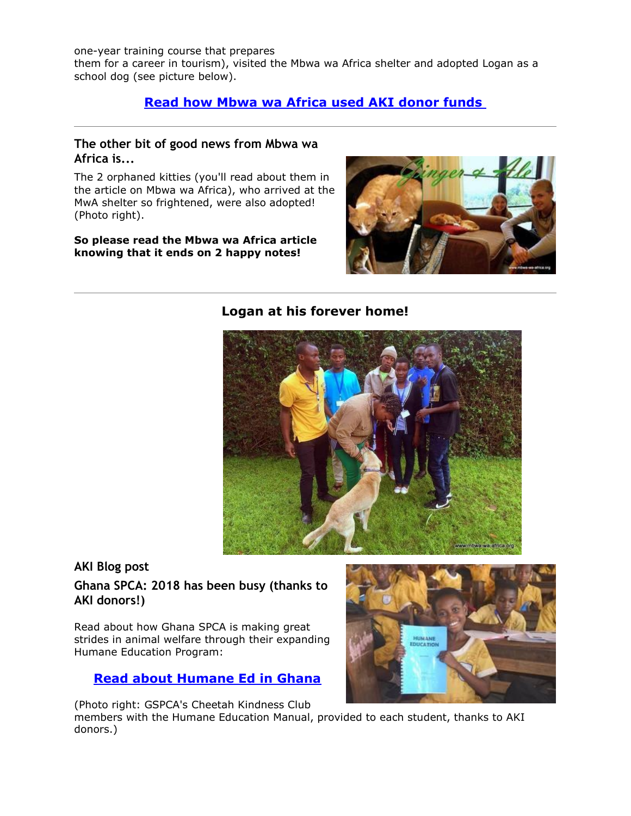one-year training course that prepares them for a career in tourism), visited the Mbwa wa Africa shelter and adopted Logan as a school dog (see picture below).

### **[Read how Mbwa wa Africa used AKI donor funds](http://cts.vresp.com/c/?AnimalKindInternatio/51993bff33/4d75da415c/f81913b161)**

#### **The other bit of good news from Mbwa wa Africa is...**

The 2 orphaned kitties (you'll read about them in the article on Mbwa wa Africa), who arrived at the MwA shelter so frightened, were also adopted! (Photo right).

#### **So please read the Mbwa wa Africa article knowing that it ends on 2 happy notes!**



### **Logan at his forever home!**



#### **AKI Blog post**

### **Ghana SPCA: 2018 has been busy (thanks to AKI donors!)**

Read about how Ghana SPCA is making great strides in animal welfare through their expanding Humane Education Program:

#### **[Read about Humane Ed in Ghana](http://cts.vresp.com/c/?AnimalKindInternatio/51993bff33/4d75da415c/dbb19e7c1d)**

(Photo right: GSPCA's Cheetah Kindness Club members with the Humane Education Manual, provided to each student, thanks to AKI donors.)